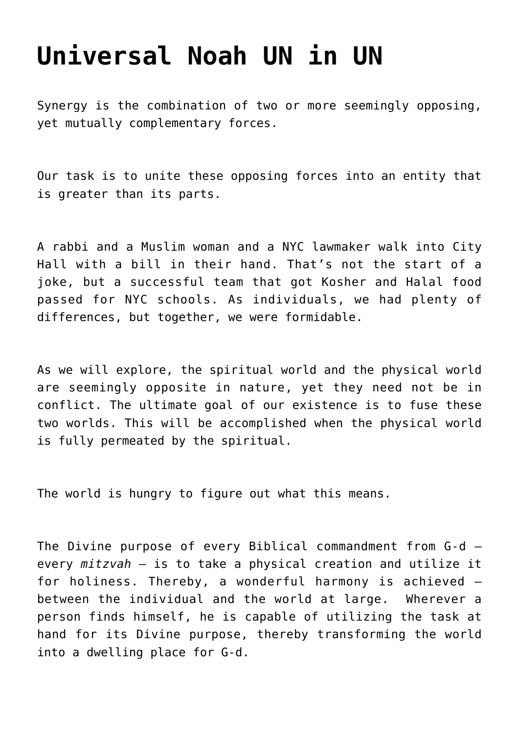## **[Universal Noah UN in UN](http://noahide.org/universal-noah-un-in-un/)**

Synergy is the combination of two or more seemingly opposing, yet mutually complementary forces.

Our task is to unite these opposing forces into an entity that is greater than its parts.

A rabbi and a Muslim woman and a NYC lawmaker walk into City Hall with a bill in their hand. That's not the start of a joke, but a successful team that got Kosher and Halal food passed for NYC schools. As individuals, we had plenty of differences, but together, we were formidable.

As we will explore, the spiritual world and the physical world are seemingly opposite in nature, yet they need not be in conflict. The ultimate goal of our existence is to fuse these two worlds. This will be accomplished when the physical world is fully permeated by the spiritual.

The world is hungry to figure out what this means.

The Divine purpose of every Biblical commandment from G-d – every *mitzvah* – is to take a physical creation and utilize it for holiness. Thereby, a wonderful harmony is achieved – between the individual and the world at large. Wherever a person finds himself, he is capable of utilizing the task at hand for its Divine purpose, thereby transforming the world into a dwelling place for G-d.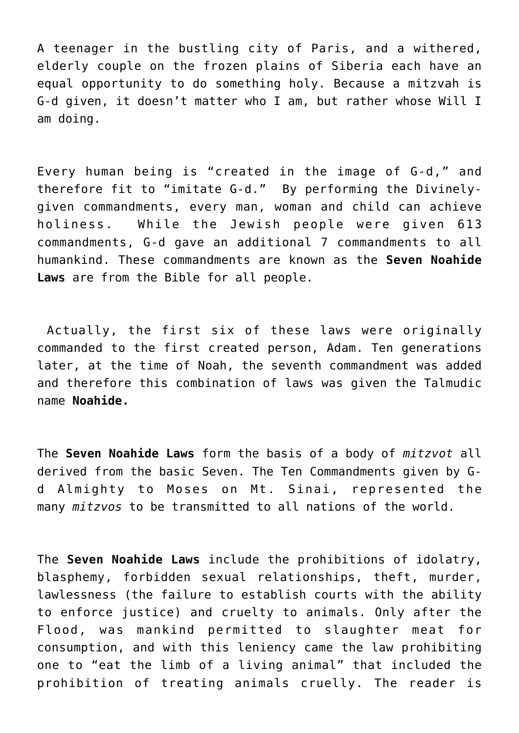A teenager in the bustling city of Paris, and a withered, elderly couple on the frozen plains of Siberia each have an equal opportunity to do something holy. Because a mitzvah is G-d given, it doesn't matter who I am, but rather whose Will I am doing.

Every human being is "created in the image of G-d," and therefore fit to "imitate G-d." By performing the Divinelygiven commandments, every man, woman and child can achieve holiness. While the Jewish people were given 613 commandments, G-d gave an additional 7 commandments to all humankind. These commandments are known as the **Seven Noahide Laws** are from the Bible for all people.

 Actually, the first six of these laws were originally commanded to the first created person, Adam. Ten generations later, at the time of Noah, the seventh commandment was added and therefore this combination of laws was given the Talmudic name **Noahide.**

The **Seven Noahide Laws** form the basis of a body of *mitzvot* all derived from the basic Seven. The Ten Commandments given by Gd Almighty to Moses on Mt. Sinai, represented the many *mitzvos* to be transmitted to all nations of the world.

The **Seven Noahide Laws** include the prohibitions of idolatry, blasphemy, forbidden sexual relationships, theft, murder, lawlessness (the failure to establish courts with the ability to enforce justice) and cruelty to animals. Only after the Flood, was mankind permitted to slaughter meat for consumption, and with this leniency came the law prohibiting one to "eat the limb of a living animal" that included the prohibition of treating animals cruelly. The reader is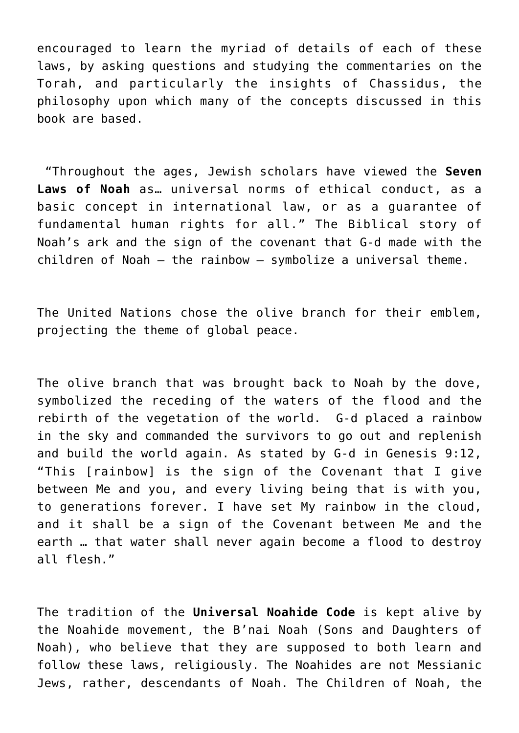encouraged to learn the myriad of details of each of these laws, by asking questions and studying the commentaries on the Torah, and particularly the insights of Chassidus, the philosophy upon which many of the concepts discussed in this book are based.

 "Throughout the ages, Jewish scholars have viewed the **Seven Laws of Noah** as… universal norms of ethical conduct, as a basic concept in international law, or as a guarantee of fundamental human rights for all." The Biblical story of Noah's ark and the sign of the covenant that G-d made with the children of Noah – the rainbow – symbolize a universal theme.

The United Nations chose the olive branch for their emblem, projecting the theme of global peace.

The olive branch that was brought back to Noah by the dove, symbolized the receding of the waters of the flood and the rebirth of the vegetation of the world. G-d placed a rainbow in the sky and commanded the survivors to go out and replenish and build the world again. As stated by G-d in Genesis 9:12, "This [rainbow] is the sign of the Covenant that I give between Me and you, and every living being that is with you, to generations forever. I have set My rainbow in the cloud, and it shall be a sign of the Covenant between Me and the earth … that water shall never again become a flood to destroy all flesh."

The tradition of the **Universal Noahide Code** is kept alive by the Noahide movement, the B'nai Noah (Sons and Daughters of Noah), who believe that they are supposed to both learn and follow these laws, religiously. The Noahides are not Messianic Jews, rather, descendants of Noah. The Children of Noah, the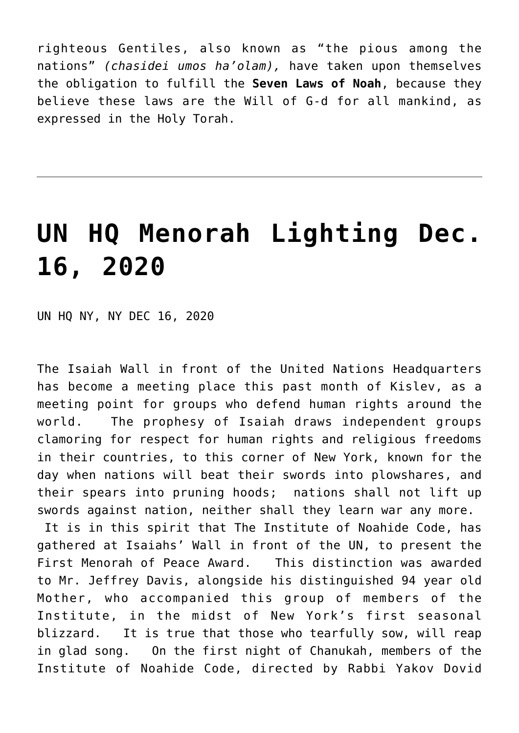righteous Gentiles, also known as "the pious among the nations" *(chasidei umos ha'olam),* have taken upon themselves the obligation to fulfill the **Seven Laws of Noah**, because they believe these laws are the Will of G-d for all mankind, as expressed in the Holy Torah.

#### **[UN HQ Menorah Lighting Dec.](http://noahide.org/un-hq-menorah-lighting-dec-16-2020/) [16, 2020](http://noahide.org/un-hq-menorah-lighting-dec-16-2020/)**

UN HQ NY, NY DEC 16, 2020

The Isaiah Wall in front of the United Nations Headquarters has become a meeting place this past month of Kislev, as a meeting point for groups who defend human rights around the world. The prophesy of Isaiah draws independent groups clamoring for respect for human rights and religious freedoms in their countries, to this corner of New York, known for the day when nations will beat their swords into plowshares, and their spears into pruning hoods; nations shall not lift up swords against nation, neither shall they learn war any more.

 It is in this spirit that The Institute of Noahide Code, has gathered at Isaiahs' Wall in front of the UN, to present the First Menorah of Peace Award. This distinction was awarded to Mr. Jeffrey Davis, alongside his distinguished 94 year old Mother, who accompanied this group of members of the Institute, in the midst of New York's first seasonal blizzard. It is true that those who tearfully sow, will reap in glad song. On the first night of Chanukah, members of the Institute of Noahide Code, directed by Rabbi Yakov Dovid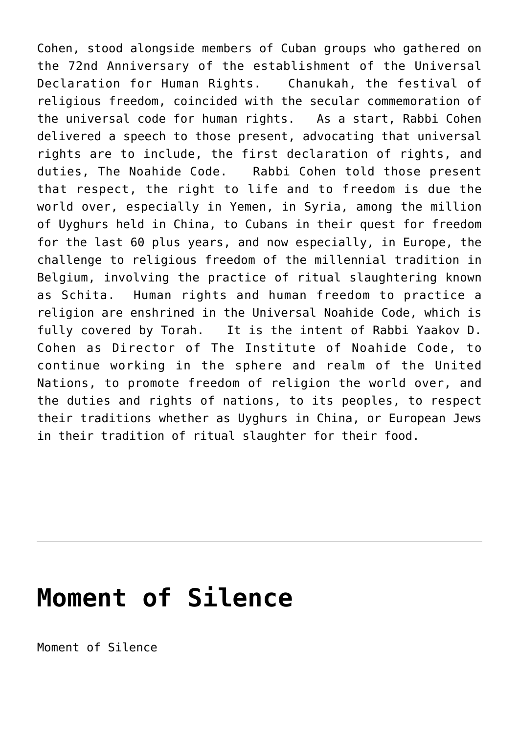Cohen, stood alongside members of Cuban groups who gathered on the 72nd Anniversary of the establishment of the Universal Declaration for Human Rights. Chanukah, the festival of religious freedom, coincided with the secular commemoration of the universal code for human rights. As a start, Rabbi Cohen delivered a speech to those present, advocating that universal rights are to include, the first declaration of rights, and duties, The Noahide Code. Rabbi Cohen told those present that respect, the right to life and to freedom is due the world over, especially in Yemen, in Syria, among the million of Uyghurs held in China, to Cubans in their quest for freedom for the last 60 plus years, and now especially, in Europe, the challenge to religious freedom of the millennial tradition in Belgium, involving the practice of ritual slaughtering known as Schita. Human rights and human freedom to practice a religion are enshrined in the Universal Noahide Code, which is fully covered by Torah. It is the intent of Rabbi Yaakov D. Cohen as Director of The Institute of Noahide Code, to continue working in the sphere and realm of the United Nations, to promote freedom of religion the world over, and the duties and rights of nations, to its peoples, to respect their traditions whether as Uyghurs in China, or European Jews in their tradition of ritual slaughter for their food.

### **[Moment of Silence](http://noahide.org/moment-of-silence/)**

Moment of Silence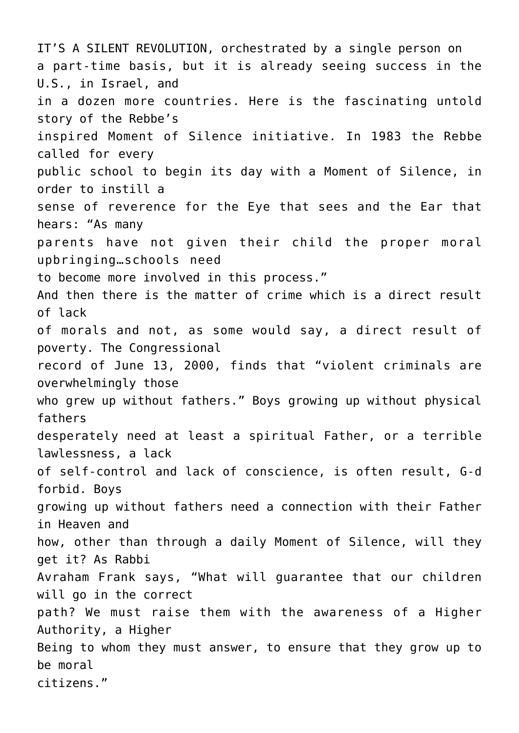IT'S A SILENT REVOLUTION, orchestrated by a single person on a part-time basis, but it is already seeing success in the U.S., in Israel, and in a dozen more countries. Here is the fascinating untold story of the Rebbe's inspired Moment of Silence initiative. In 1983 the Rebbe called for every public school to begin its day with a Moment of Silence, in order to instill a sense of reverence for the Eye that sees and the Ear that hears: "As many parents have not given their child the proper moral upbringing…schools need to become more involved in this process." And then there is the matter of crime which is a direct result of lack of morals and not, as some would say, a direct result of poverty. The Congressional record of June 13, 2000, finds that "violent criminals are overwhelmingly those who grew up without fathers." Boys growing up without physical fathers desperately need at least a spiritual Father, or a terrible lawlessness, a lack of self-control and lack of conscience, is often result, G-d forbid. Boys growing up without fathers need a connection with their Father in Heaven and how, other than through a daily Moment of Silence, will they get it? As Rabbi Avraham Frank says, "What will guarantee that our children will go in the correct path? We must raise them with the awareness of a Higher Authority, a Higher Being to whom they must answer, to ensure that they grow up to be moral citizens."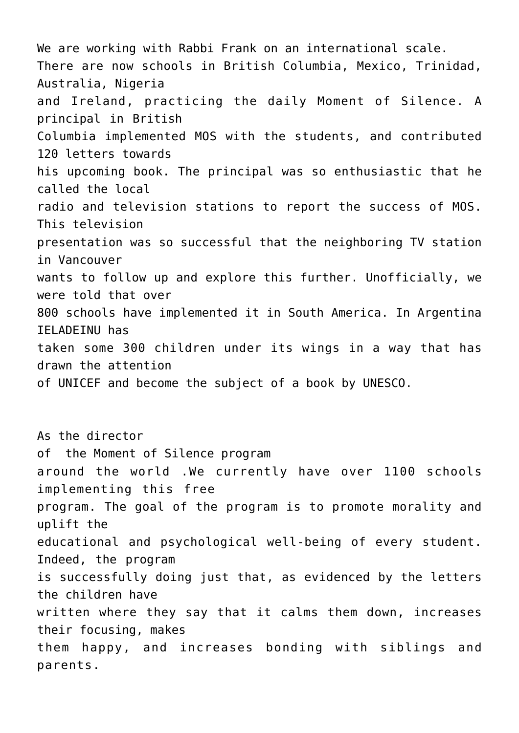We are working with Rabbi Frank on an international scale. There are now schools in British Columbia, Mexico, Trinidad, Australia, Nigeria and Ireland, practicing the daily Moment of Silence. A principal in British Columbia implemented MOS with the students, and contributed 120 letters towards his upcoming book. The principal was so enthusiastic that he called the local radio and television stations to report the success of MOS. This television presentation was so successful that the neighboring TV station in Vancouver wants to follow up and explore this further. Unofficially, we were told that over 800 schools have implemented it in South America. In Argentina IELADEINU has taken some 300 children under its wings in a way that has drawn the attention of UNICEF and become the subject of a book by UNESCO. As the director of the Moment of Silence program around the world .We currently have over 1100 schools

implementing this free program. The goal of the program is to promote morality and uplift the

educational and psychological well-being of every student. Indeed, the program

is successfully doing just that, as evidenced by the letters the children have

written where they say that it calms them down, increases their focusing, makes

them happy, and increases bonding with siblings and parents.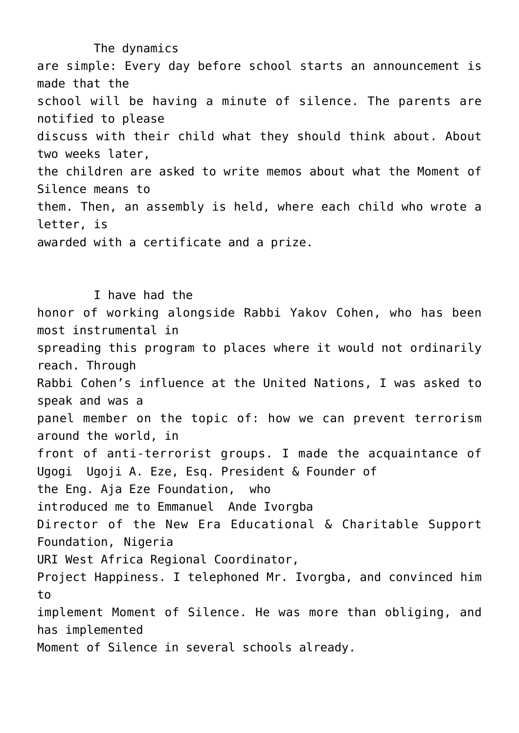The dynamics are simple: Every day before school starts an announcement is made that the school will be having a minute of silence. The parents are notified to please discuss with their child what they should think about. About two weeks later, the children are asked to write memos about what the Moment of Silence means to them. Then, an assembly is held, where each child who wrote a letter, is awarded with a certificate and a prize.

 I have had the honor of working alongside Rabbi Yakov Cohen, who has been most instrumental in spreading this program to places where it would not ordinarily reach. Through Rabbi Cohen's influence at the United Nations, I was asked to speak and was a panel member on the topic of: how we can prevent terrorism around the world, in front of anti-terrorist groups. I made the acquaintance of Ugogi Ugoji A. Eze, Esq. President & Founder of the Eng. Aja Eze Foundation, who introduced me to Emmanuel Ande Ivorgba Director of the New Era Educational & Charitable Support Foundation, Nigeria URI West Africa Regional Coordinator, Project Happiness. I telephoned Mr. Ivorgba, and convinced him to implement Moment of Silence. He was more than obliging, and has implemented Moment of Silence in several schools already.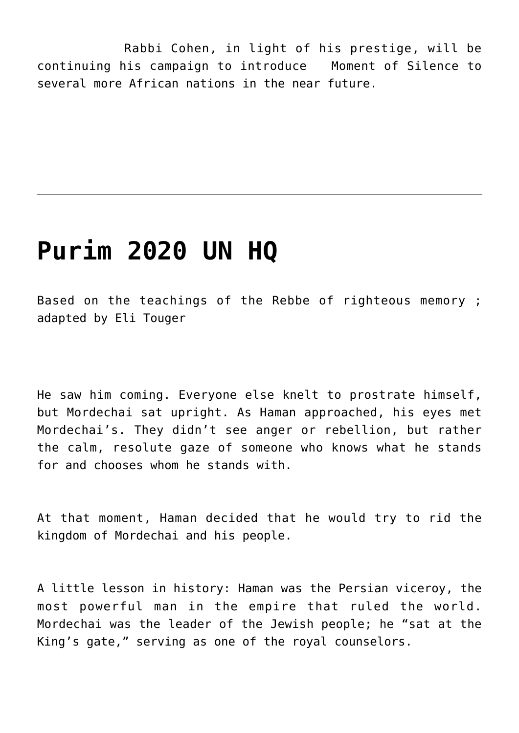Rabbi Cohen, in light of his prestige, will be continuing his campaign to introduce Moment of Silence to several more African nations in the near future.

#### **[Purim 2020 UN HQ](http://noahide.org/purim-2020-un-hq-2/)**

Based on the teachings of the Rebbe of righteous memory ; adapted by Eli Touger

He saw him coming. Everyone else knelt to prostrate himself, but Mordechai sat upright. As Haman approached, his eyes met Mordechai's. They didn't see anger or rebellion, but rather the calm, resolute gaze of someone who knows what he stands for and chooses whom he stands with.

At that moment, Haman decided that he would try to rid the kingdom of Mordechai and his people.

A little lesson in history: Haman was the Persian viceroy, the most powerful man in the empire that ruled the world. Mordechai was the leader of the Jewish people; he "sat at the King's gate," serving as one of the royal counselors.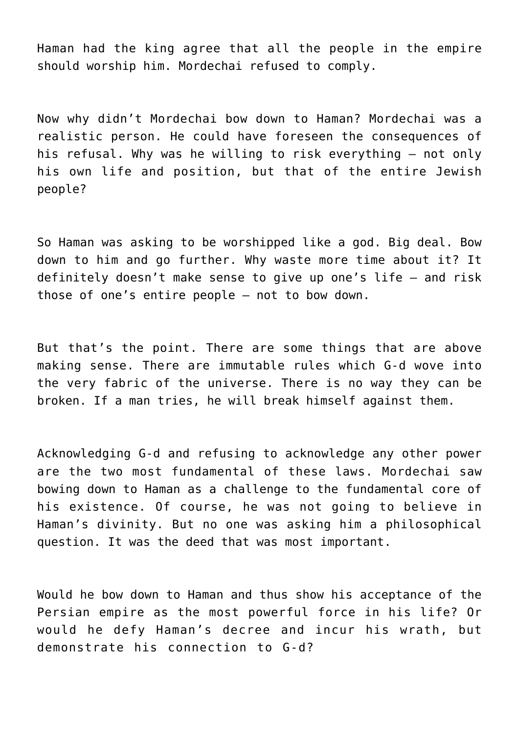Haman had the king agree that all the people in the empire should worship him. Mordechai refused to comply.

Now why didn't Mordechai bow down to Haman? Mordechai was a realistic person. He could have foreseen the consequences of his refusal. Why was he willing to risk everything – not only his own life and position, but that of the entire Jewish people?

So Haman was asking to be worshipped like a god. Big deal. Bow down to him and go further. Why waste more time about it? It definitely doesn't make sense to give up one's life – and risk those of one's entire people – not to bow down.

But that's the point. There are some things that are above making sense. There are immutable rules which G‑d wove into the very fabric of the universe. There is no way they can be broken. If a man tries, he will break himself against them.

Acknowledging G‑d and refusing to acknowledge any other power are the two most fundamental of these laws. Mordechai saw bowing down to Haman as a challenge to the fundamental core of his existence. Of course, he was not going to believe in Haman's divinity. But no one was asking him a philosophical question. It was the deed that was most important.

Would he bow down to Haman and thus show his acceptance of the Persian empire as the most powerful force in his life? Or would he defy Haman's decree and incur his wrath, but demonstrate his connection to G-d?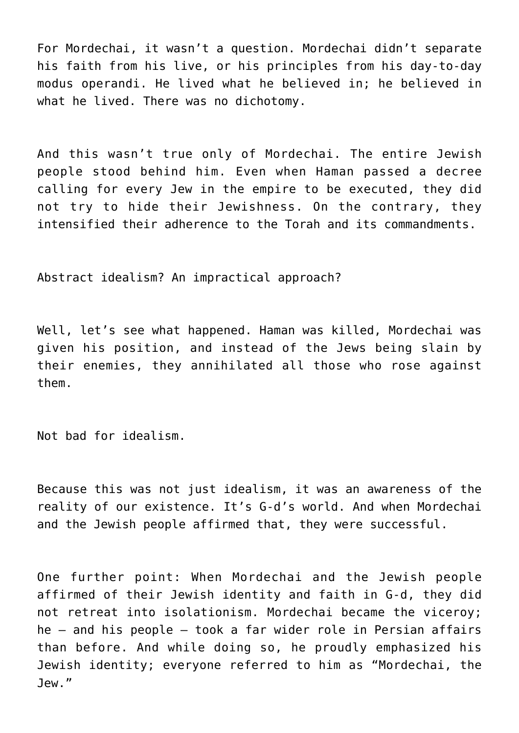For Mordechai, it wasn't a question. Mordechai didn't separate his faith from his live, or his principles from his day-to-day modus operandi. He lived what he believed in; he believed in what he lived. There was no dichotomy.

And this wasn't true only of Mordechai. The entire Jewish people stood behind him. Even when Haman passed a decree calling for every Jew in the empire to be executed, they did not try to hide their Jewishness. On the contrary, they intensified their adherence to the Torah and its commandments.

Abstract idealism? An impractical approach?

Well, let's see what happened. Haman was killed, Mordechai was given his position, and instead of the Jews being slain by their enemies, they annihilated all those who rose against them.

Not bad for idealism.

Because this was not just idealism, it was an awareness of the reality of our existence. It's G-d's world. And when Mordechai and the Jewish people affirmed that, they were successful.

One further point: When Mordechai and the Jewish people affirmed of their Jewish identity and faith in G‑d, they did not retreat into isolationism. Mordechai became the viceroy; he – and his people – took a far wider role in Persian affairs than before. And while doing so, he proudly emphasized his Jewish identity; everyone referred to him as "Mordechai, the Jew."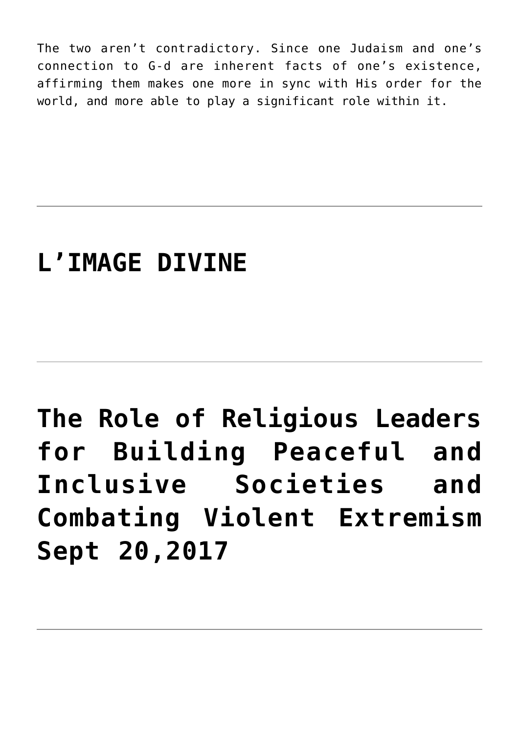The two aren't contradictory. Since one Judaism and one's connection to G‑d are inherent facts of one's existence, affirming them makes one more in sync with His order for the world, and more able to play a significant role within it.

### **[L'IMAGE DIVINE](http://noahide.org/limage-divine/)**

# **[The Role of Religious Leaders](http://noahide.org/the-role-of-religious-leaders-for-building-peaceful-and-inclusive-societies-and-combating-violent-extremism-sept-202017/) [for Building Peaceful and](http://noahide.org/the-role-of-religious-leaders-for-building-peaceful-and-inclusive-societies-and-combating-violent-extremism-sept-202017/) [Inclusive Societies and](http://noahide.org/the-role-of-religious-leaders-for-building-peaceful-and-inclusive-societies-and-combating-violent-extremism-sept-202017/) [Combating Violent Extremism](http://noahide.org/the-role-of-religious-leaders-for-building-peaceful-and-inclusive-societies-and-combating-violent-extremism-sept-202017/) [Sept 20,2017](http://noahide.org/the-role-of-religious-leaders-for-building-peaceful-and-inclusive-societies-and-combating-violent-extremism-sept-202017/)**